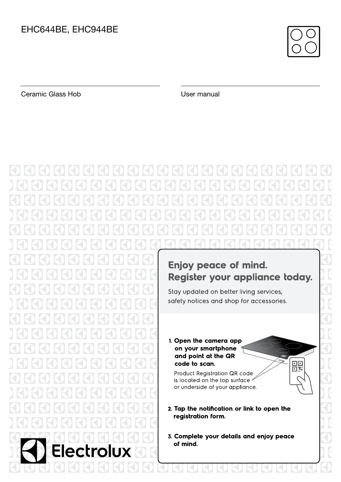

Ceramic Glass Hob User manual

# Enjoy peace of mind. Register your appliance today. Stay updated on better living services, safety notices and shop for accessories. 1. Open the camera app on your smartphone and point at the QR 髁 code to scan. Product Registration QR code is located on the top surface or underside of your appliance. 2. Tap the notification or link to open the registration form. 3. Complete your details and enjoy peace of mind. trolux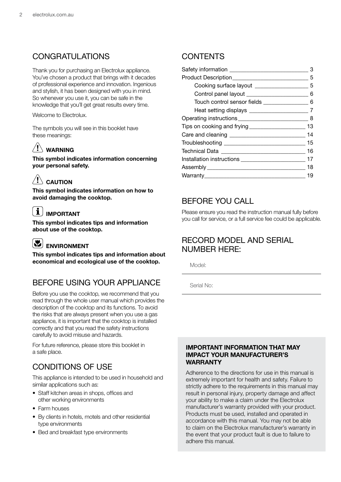### CONGRATULATIONS

Thank you for purchasing an Electrolux appliance. You've chosen a product that brings with it decades of professional experience and innovation. Ingenious and stylish, it has been designed with you in mind. So whenever you use it, you can be safe in the knowledge that you'll get great results every time.

Welcome to Electrolux.

The symbols you will see in this booklet have these meanings:

### $\sqrt{!}$  WARNING

This symbol indicates information concerning your personal safety.

### $\langle ! \rangle$  caution

This symbol indicates information on how to avoid damaging the cooktop.

## $\left\lceil \mathbf{\hat{i}}\right\rceil$  important

This symbol indicates tips and information about use of the cooktop.

## ENVIRONMENT

This symbol indicates tips and information about economical and ecological use of the cooktop.

### BEFORE USING YOUR APPLIANCE

Before you use the cooktop, we recommend that you read through the whole user manual which provides the description of the cooktop and its functions. To avoid the risks that are always present when you use a gas appliance, it is important that the cooktop is installed correctly and that you read the safety instructions carefully to avoid misuse and hazards.

For future reference, please store this booklet in a safe place.

### CONDITIONS OF USE

This appliance is intended to be used in household and similar applications such as:

- Staff kitchen areas in shops, offices and other working environments
- Farm houses
- By clients in hotels, motels and other residential type environments
- Bed and breakfast type environments

### **CONTENTS**

|                                                   | З  |
|---------------------------------------------------|----|
|                                                   | 5  |
| Cooking surface layout ____________________       | .5 |
|                                                   | 6  |
| Touch control sensor fields ________________      | 6  |
|                                                   |    |
|                                                   |    |
| Tips on cooking and frying ______________________ | 13 |
|                                                   | 14 |
|                                                   | 15 |
|                                                   | 16 |
|                                                   |    |
|                                                   | 18 |
|                                                   | 19 |
|                                                   |    |

### BEFORE YOU CALL

Please ensure you read the instruction manual fully before you call for service, or a full service fee could be applicable.

### RECORD MODEL AND SERIAL NUMBER HERE:

Model:

Serial No:

### IMPORTANT INFORMATION THAT MAY IMPACT YOUR MANUFACTURER'S **WARRANTY**

Adherence to the directions for use in this manual is extremely important for health and safety. Failure to strictly adhere to the requirements in this manual may result in personal injury, property damage and affect your ability to make a claim under the Electrolux manufacturer's warranty provided with your product. Products must be used, installed and operated in accordance with this manual. You may not be able to claim on the Electrolux manufacturer's warranty in the event that your product fault is due to failure to adhere this manual.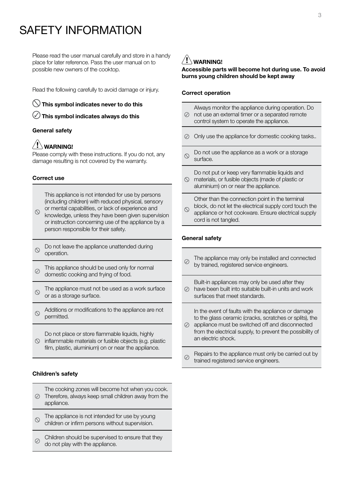## SAFETY INFORMATION

Please read the user manual carefully and store in a handy place for later reference. Pass the user manual on to possible new owners of the cooktop.

Read the following carefully to avoid damage or injury.

 $\heartsuit$  This symbol indicates never to do this

 $\bigcirc$  This symbol indicates always do this

### General safety

### WARNING!

Please comply with these instructions. If you do not, any damage resulting is not covered by the warranty.

#### Correct use

This appliance is not intended for use by persons (including children) with reduced physical, sensory or mental capabilities, or lack of experience and

- $\circ$ knowledge, unless they have been given supervision or instruction concerning use of the appliance by a person responsible for their safety.
- Do not leave the appliance unattended during  $\varnothing$ operation.
- This appliance should be used only for normal ⊘ domestic cooking and frying of food.
- The appliance must not be used as a work surface  $\varnothing$ or as a storage surface.
- Additions or modifications to the appliance are not  $\varnothing$ permitted.

Do not place or store flammable liquids, highly  $\circledcirc$  inflammable materials or fusible objects (e.g. plastic film, plastic, aluminium) on or near the appliance.

### Children's safety

- The cooking zones will become hot when you cook. Therefore, always keep small children away from the appliance.
- The appliance is not intended for use by young  $\infty$ children or infirm persons without supervision.
- Children should be supervised to ensure that they  $\oslash$ do not play with the appliance.

## $\bigwedge$  warning!

### Accessible parts will become hot during use. To avoid burns young children should be kept away

#### Correct operation

- Always monitor the appliance during operation. Do not use an external timer or a separated remote control system to operate the appliance.
- Only use the appliance for domestic cooking tasks..
- Do not use the appliance as a work or a storage  $\circlearrowright$ surface.
- Do not put or keep very flammable liquids and  $\circledcirc$  materials, or fusible objects (made of plastic or
- aluminium) on or near the appliance.

Other than the connection point in the terminal

block, do not let the electrical supply cord touch the  $\circlearrowright$ appliance or hot cookware. Ensure electrical supply cord is not tangled.

### General safety

- The appliance may only be installed and connected  $\oslash$ by trained, registered service engineers.
- Built-in appliances may only be used after they have been built into suitable built-in units and work  $\varpi$ surfaces that meet standards.

In the event of faults with the appliance or damage to the glass ceramic (cracks, scratches or splits), the

- $\oslash$  appliance must be switched off and disconnected from the electrical supply, to prevent the possibility of an electric shock.
- Repairs to the appliance must only be carried out by  $\oslash$ trained registered service engineers.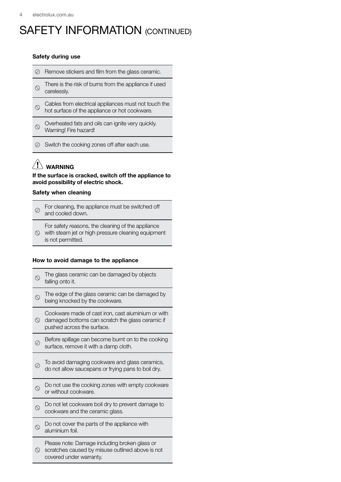## SAFETY INFORMATION (CONTINUED)

#### Safety during use

| Remove stickers and film from the glass ceramic.                                                      |
|-------------------------------------------------------------------------------------------------------|
| There is the risk of burns from the appliance if used<br>carelessly.                                  |
| Cables from electrical appliances must not touch the<br>hot surface of the appliance or hot cookware. |
| Overheated fats and oils can ignite very quickly.<br>Warning! Fire hazard!                            |

 $\oslash$  Switch the cooking zones off after each use.

## $\langle \cdot \rangle$  warning

If the surface is cracked, switch off the appliance to avoid possibility of electric shock.

### Safety when cleaning

| $\odot$ | For cleaning, the appliance must be switched off<br>and cooled down.                                    |
|---------|---------------------------------------------------------------------------------------------------------|
|         | For safety reasons, the cleaning of the appliance<br>with steam jet or high pressure cleaning equipment |

is not permitted.

### How to avoid damage to the appliance

|                | The glass ceramic can be damaged by objects<br>falling onto it.                                                                      |
|----------------|--------------------------------------------------------------------------------------------------------------------------------------|
|                | The edge of the glass ceramic can be damaged by<br>being knocked by the cookware.                                                    |
| $\circledcirc$ | Cookware made of cast iron, cast aluminium or with<br>damaged bottoms can scratch the glass ceramic if<br>pushed across the surface. |
|                | Before spillage can become burnt on to the cooking<br>surface, remove it with a damp cloth.                                          |
|                | To avoid damaging cookware and glass ceramics,<br>do not allow saucepans or frying pans to boil dry.                                 |
|                | Do not use the cooking zones with empty cookware<br>or without cookware.                                                             |
|                | Do not let cookware boil dry to prevent damage to<br>cookware and the ceramic glass.                                                 |
|                | Do not cover the parts of the appliance with<br>aluminium foil.                                                                      |
|                | Please note: Damage including broken glass or<br>scratches caused by misuse outlined above is not<br>covered under warranty.         |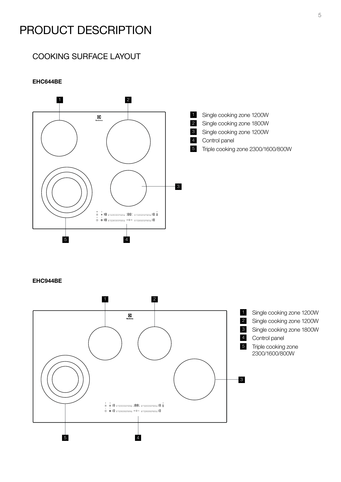## PRODUCT DESCRIPTION

### COOKING SURFACE LAYOUT

### EHC644BE



### EHC944BE

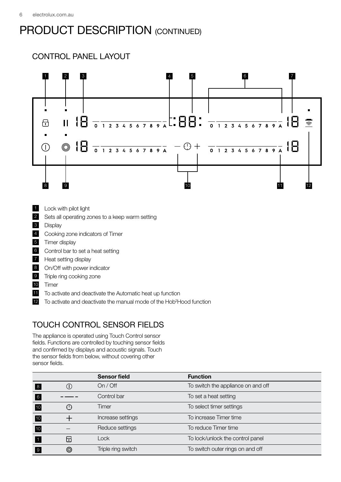## PRODUCT DESCRIPTION (CONTINUED)

## CONTROL PANEL LAYOUT



- 1 Lock with pilot light
- 2 Sets all operating zones to a keep warm setting
- 3 Display
- 4 Cooking zone indicators of Timer
- 5 Timer display
- 6 Control bar to set a heat setting
- 7 Heat setting display
- 8 On/Off with power indicator
- 9 Triple ring cooking zone
- 10 Timer
- **11** To activate and deactivate the Automatic heat up function
- 12 To activate and deactivate the manual mode of the Hob<sup>2</sup>Hood function

### TOUCH CONTROL SENSOR FIELDS

The appliance is operated using Touch Control sensor fields. Functions are controlled by touching sensor fields and confirmed by displays and acoustic signals. Touch the sensor fields from below, without covering other sensor fields.

|                |                                                      | <b>Sensor field</b> | <b>Function</b>                    |
|----------------|------------------------------------------------------|---------------------|------------------------------------|
| 8              |                                                      | On / Off            | To switch the appliance on and off |
| 6              |                                                      | Control bar         | To set a heat setting              |
| 10             | $\left( \begin{array}{c} 0 \\ 0 \end{array} \right)$ | Timer               | To select timer settings           |
| 10             |                                                      | Increase settings   | To increase Timer time             |
| 10             |                                                      | Reduce settings     | To reduce Timer time               |
|                | 6                                                    | Lock                | To lock/unlock the control panel   |
| $\overline{9}$ | ◎                                                    | Triple ring switch  | To switch outer rings on and off   |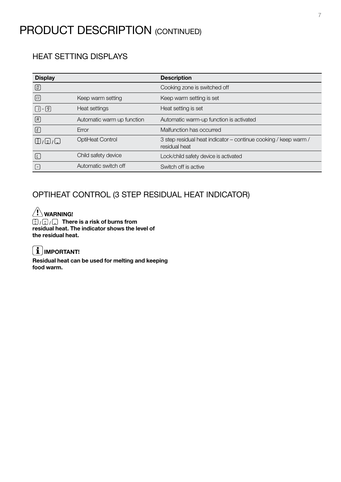## PRODUCT DESCRIPTION (CONTINUED)

### HEAT SETTING DISPLAYS

| <b>Display</b>                    |                            | <b>Description</b>                                                               |
|-----------------------------------|----------------------------|----------------------------------------------------------------------------------|
| $\boxed{0}$                       |                            | Cooking zone is switched off                                                     |
| $\boxed{1}$                       | Keep warm setting          | Keep warm setting is set                                                         |
| $\lceil \rceil - \lceil 9 \rceil$ | Heat settings              | Heat setting is set                                                              |
| $\boxed{B}$                       | Automatic warm up function | Automatic warm-up function is activated                                          |
| $\bigcirc$                        | Error                      | Malfunction has occurred                                                         |
| $\Xi$ / $\Xi$ / $\Xi$             | OptiHeat Control           | 3 step residual heat indicator - continue cooking / keep warm /<br>residual heat |
| L.                                | Child safety device        | Lock/child safety device is activated                                            |
|                                   | Automatic switch off       | Switch off is active                                                             |

### OPTIHEAT CONTROL (3 STEP RESIDUAL HEAT INDICATOR)

### $\hat{w}$  warning!  $\boxed{\subseteq}$  / $\boxed{\subseteq}$  There is a risk of burns from residual heat. The indicator shows the level of the residual heat.

## $\left[\mathbf{\hat{i}}\right]$ IMPORTANT!

Residual heat can be used for melting and keeping food warm.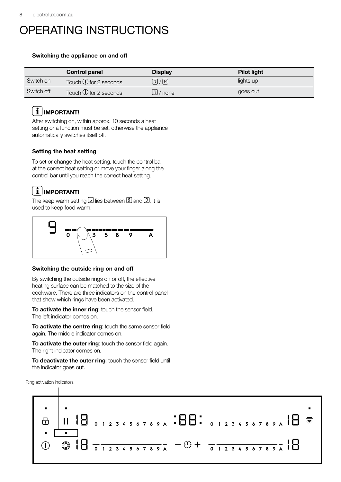## OPERATING INSTRUCTIONS

### Switching the appliance on and off

|            | <b>Control panel</b>               | <b>Display</b> | <b>Pilot light</b> |
|------------|------------------------------------|----------------|--------------------|
| Switch on  | Touch $\overline{0}$ for 2 seconds | $[0]$ / $[0]$  | lights up          |
| Switch off | Touch $\overline{0}$ for 2 seconds | $H/$ none      | goes out           |

## $\left[\mathbf{\hat{i}}\right]$ IMPORTANT!

After switching on, within approx. 10 seconds a heat setting or a function must be set, otherwise the appliance automatically switches itself off.

### Setting the heat setting

To set or change the heat setting: touch the control bar at the correct heat setting or move your finger along the control bar until you reach the correct heat setting.

## $\mathbf{1}$  | IMPORTANT!

The keep warm setting  $\overline{\omega}$  lies between  $\overline{\omega}$  and  $\overline{\mathcal{D}}$ . It is used to keep food warm.



### Switching the outside ring on and off

By switching the outside rings on or off, the effective heating surface can be matched to the size of the cookware. There are three indicators on the control panel that show which rings have been activated.

To activate the inner ring: touch the sensor field. The left indicator comes on.

To activate the centre ring: touch the same sensor field again. The middle indicator comes on.

To activate the outer ring: touch the sensor field again. The right indicator comes on.

To deactivate the outer ring: touch the sensor field until the indicator goes out.



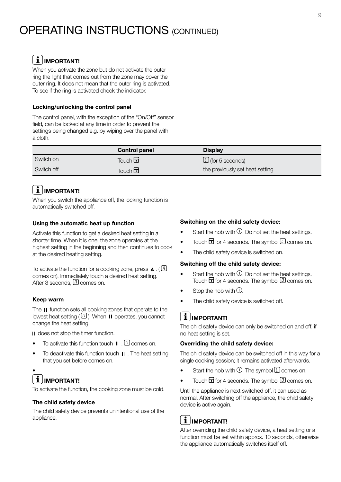## $\boxed{\mathbf{i}}$  IMPORTANT!

When you activate the zone but do not activate the outer ring the light that comes out from the zone may cover the outer ring. It does not mean that the outer ring is activated. To see if the ring is activated check the indicator.

### Locking/unlocking the control panel

The control panel, with the exception of the "On/Off" sensor field, can be locked at any time in order to prevent the settings being changed e.g. by wiping over the panel with a cloth.

|            | <b>Control panel</b>          | <b>Display</b>                                      |
|------------|-------------------------------|-----------------------------------------------------|
| Switch on  | Touch $\overline{\mathbf{D}}$ | $\lfloor \underline{\iota} \rfloor$ (for 5 seconds) |
| Switch off | Touch $\overline{\mathbf{D}}$ | the previously set heat setting                     |

### $\mathbf{i}$  | IMPORTANT!

When you switch the appliance off, the locking function is automatically switched off.

### Using the automatic heat up function

Activate this function to get a desired heat setting in a shorter time. When it is one, the zone operates at the highest setting in the beginning and then continues to cook at the desired heating setting.

To activate the function for a cooking zone, press  $\blacktriangle$ . ( $\boxed{B}$ ) comes on). Immediately touch a desired heat setting. After 3 seconds,  $\left[\begin{matrix}R\end{matrix}\right]$  comes on.

#### Keep warm

The II function sets all cooking zones that operate to the lowest heat setting ( $\Box$ ). When **II** operates, you cannot change the heat setting.

II does not stop the timer function.

- To activate this function touch  $\mathbf H$  .  $^{(1)}$  comes on.
- To deactivate this function touch II . The heat setting that you set before comes on.

### • IMPORTANT!

To activate the function, the cooking zone must be cold.

#### The child safety device

The child safety device prevents unintentional use of the appliance.

### Switching on the child safety device:

- Start the hob with  $\mathbb O$ . Do not set the heat settings.
- Touch  $\overline{\mathbf{G}}$  for 4 seconds. The symbol  $\mathbb C$  comes on.
- The child safety device is switched on.

#### Switching off the child safety device:

- Start the hob with  $\mathbb O$ . Do not set the heat settings. Touch  $\overline{\mathbf{G}}$  for 4 seconds. The symbol  $\overline{\mathbf{C}}$  comes on.
- Stop the hob with  $\mathbb O.$
- The child safety device is switched off.

### $\left[\mathbf{i}\right]$ IMPORTANT!

The child safety device can only be switched on and off, if no heat setting is set.

#### Overriding the child safety device:

The child safety device can be switched off in this way for a single cooking session; it remains activated afterwards.

- Start the hob with  $\mathbb O$ . The symbol  $\mathbb U$  comes on.
- Touch  $\overline{\mathbf{G}}$  for 4 seconds. The symbol  $\overline{\mathbf{C}}$  comes on.

Until the appliance is next switched off, it can used as normal. After switching off the appliance, the child safety device is active again.

## $i$  | IMPORTANT!

After overriding the child safety device, a heat setting or a function must be set within approx. 10 seconds, otherwise the appliance automatically switches itself off.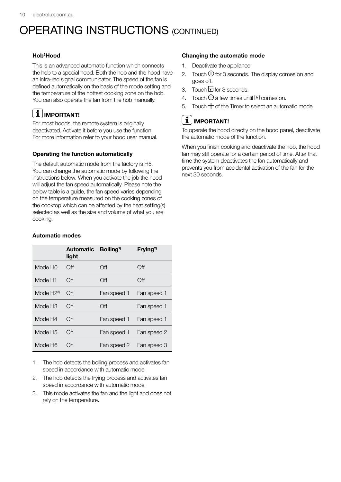### Hob2 Hood

This is an advanced automatic function which connects the hob to a special hood. Both the hob and the hood have an infra-red signal communicator. The speed of the fan is defined automatically on the basis of the mode setting and the temperature of the hottest cooking zone on the hob. You can also operate the fan from the hob manually.

## $\left[\begin{array}{c} \mathbf{i} \end{array}\right]$ IMPORTANT!

For most hoods, the remote system is originally deactivated. Activate it before you use the function. For more information refer to your hood user manual.

### Operating the function automatically

The default automatic mode from the factory is H5. You can change the automatic mode by following the instructions below. When you activate the job the hood will adjust the fan speed automatically. Please note the below table is a guide, the fan speed varies depending on the temperature measured on the cooking zones of the cooktop which can be affected by the heat setting(s) selected as well as the size and volume of what you are cooking.

### Automatic modes

|                     | Automatic Boiling <sup>1)</sup><br>light |             | Frying <sup>2)</sup> |
|---------------------|------------------------------------------|-------------|----------------------|
| Mode H <sub>0</sub> | Off                                      | Off         | Off                  |
| Mode H1             | On                                       | Off         | Off                  |
| Mode $H2^{3}$       | On                                       | Fan speed 1 | Fan speed 1          |
| Mode H <sub>3</sub> | On                                       | Off         | Fan speed 1          |
| Mode H4             | On                                       | Fan speed 1 | Fan speed 1          |
| Mode H <sub>5</sub> | On                                       | Fan speed 1 | Fan speed 2          |
| Mode H6             | ( )ท                                     | Fan speed 2 | Fan speed 3          |

1. The hob detects the boiling process and activates fan speed in accordance with automatic mode.

- 2. The hob detects the frying process and activates fan speed in accordance with automatic mode.
- 3. This mode activates the fan and the light and does not rely on the temperature.

### Changing the automatic mode

- 1. Deactivate the appliance
- 2. Touch  $\overline{0}$  for 3 seconds. The display comes on and goes off.
- 3. Touch  $\overline{\mathbf{D}}$  for 3 seconds.
- 4. Touch  $\mathbb O$  a few times until  $\mathbb H$  comes on.
- 5. Touch  $+$  of the Timer to select an automatic mode.

## $i$  | IMPORTANT!

To operate the hood directly on the hood panel, deactivate the automatic mode of the function.

When you finish cooking and deactivate the hob, the hood fan may still operate for a certain period of time. After that time the system deactivates the fan automatically and prevents you from accidental activation of the fan for the next 30 seconds.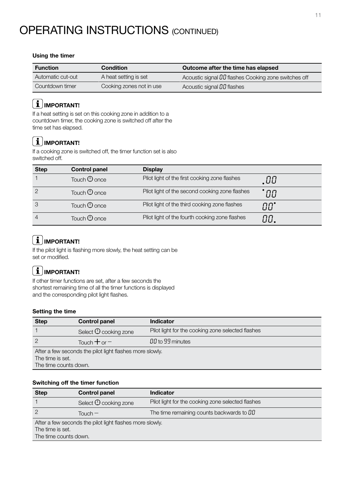### Using the timer

| <b>Function</b>   | <b>Condition</b>         | Outcome after the time has elapsed                   |
|-------------------|--------------------------|------------------------------------------------------|
| Automatic cut-out | A heat setting is set    | Acoustic signal DD flashes Cooking zone switches off |
| Countdown timer   | Cooking zones not in use | Acoustic signal DD flashes                           |

## $\left[\begin{array}{c} \mathbf{1} \end{array}\right]$ IMPORTANT!

If a heat setting is set on this cooking zone in addition to a countdown timer, the cooking zone is switched off after the time set has elapsed.

## $\left[\mathbf{\hat{1}}\right]$ IMPORTANT!

If a cooking zone is switched off, the timer function set is also switched off.

| <b>Step</b> | <b>Control panel</b> | <b>Display</b>                                 |     |
|-------------|----------------------|------------------------------------------------|-----|
|             | Touch $\Theta$ once  | Pilot light of the first cooking zone flashes  | .00 |
|             | Touch $\Theta$ once  | Pilot light of the second cooking zone flashes | ПП  |
|             | Touch $\Theta$ once  | Pilot light of the third cooking zone flashes  | ПП" |
|             | Touch $\Theta$ once  | Pilot light of the fourth cooking zone flashes | 88. |

## $\boxed{\mathbf{i}}$  IMPORTANT!

If the pilot light is flashing more slowly, the heat setting can be set or modified.

## $\left[\begin{array}{c} \mathbf{1} \end{array}\right]$ IMPORTANT!

If other timer functions are set, after a few seconds the shortest remaining time of all the timer functions is displayed and the corresponding pilot light flashes.

### Setting the time

| <b>Step</b>                                              | <b>Control panel</b>            | <b>Indicator</b>                                  |
|----------------------------------------------------------|---------------------------------|---------------------------------------------------|
|                                                          | Select $\mathbb O$ cooking zone | Pilot light for the cooking zone selected flashes |
|                                                          | Touch $+$ or $-$                | 00 to 99 minutes                                  |
| After a few seconds the pilot light flashes more slowly. |                                 |                                                   |
| The time is set.                                         |                                 |                                                   |
| The time counts down.                                    |                                 |                                                   |

### Switching off the timer function

| <b>Step</b>                                              | <b>Control panel</b>            | <b>Indicator</b>                                  |
|----------------------------------------------------------|---------------------------------|---------------------------------------------------|
|                                                          | Select $\mathbb O$ cooking zone | Pilot light for the cooking zone selected flashes |
|                                                          | Touch $-$                       | The time remaining counts backwards to $00$       |
| After a few seconds the pilot light flashes more slowly. |                                 |                                                   |
| The time is set.                                         |                                 |                                                   |
| The time counts down.                                    |                                 |                                                   |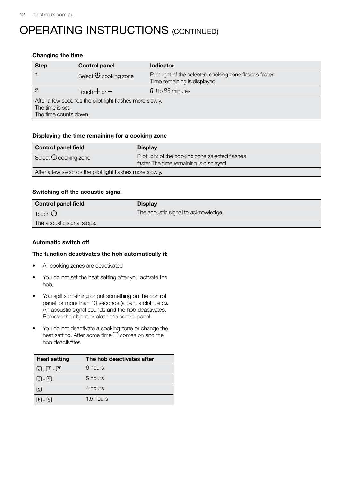#### Changing the time

| <b>Step</b>                                                                                           | <b>Control panel</b>                | <b>Indicator</b>                                                                        |
|-------------------------------------------------------------------------------------------------------|-------------------------------------|-----------------------------------------------------------------------------------------|
|                                                                                                       | Select <sup>(1</sup> ) cooking zone | Pilot light of the selected cooking zone flashes faster.<br>Time remaining is displayed |
|                                                                                                       | Touch $+$ or $-$                    | 0 I to 99 minutes                                                                       |
| After a few seconds the pilot light flashes more slowly.<br>The time is set.<br>The time counts down. |                                     |                                                                                         |

#### Displaying the time remaining for a cooking zone

| <b>Control panel field</b>                               | <b>Display</b>                                                                             |
|----------------------------------------------------------|--------------------------------------------------------------------------------------------|
| Select $\mathbb O$ cooking zone                          | Pilot light of the cooking zone selected flashes<br>faster The time remaining is displayed |
| After a few seconds the pilot light flashes more slowly. |                                                                                            |

### Switching off the acoustic signal

| <b>Control panel field</b> | <b>Display</b>                      |
|----------------------------|-------------------------------------|
| Touch $\odot$              | The acoustic signal to acknowledge. |
| The acoustic signal stops. |                                     |

#### Automatic switch off

#### The function deactivates the hob automatically if:

- All cooking zones are deactivated
- You do not set the heat setting after you activate the hob,
- You spill something or put something on the control panel for more than 10 seconds (a pan, a cloth, etc.). An acoustic signal sounds and the hob deactivates. Remove the object or clean the control panel.
- You do not deactivate a cooking zone or change the heat setting. After some time  $\overline{\cup}$  comes on and the hob deactivates.

| <b>Heat setting</b>      | The hob deactivates after |
|--------------------------|---------------------------|
| $\Box$ , $\Box$ - $\Box$ | 6 hours                   |
| $(3) - (4)$              | 5 hours                   |
| $\lceil 5 \rceil$        | 4 hours                   |
| $[5]$ - $[9]$            | 1.5 hours                 |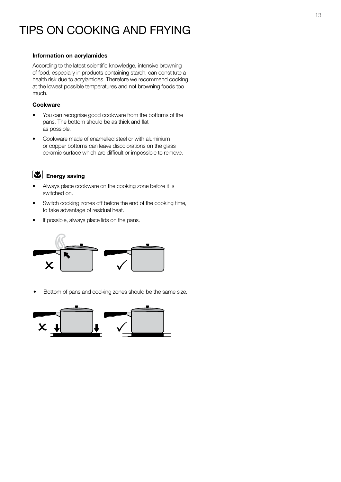## TIPS ON COOKING AND FRYING

#### Information on acrylamides

According to the latest scientific knowledge, intensive browning of food, especially in products containing starch, can constitute a health risk due to acrylamides. Therefore we recommend cooking at the lowest possible temperatures and not browning foods too much.

#### Cookware

- You can recognise good cookware from the bottoms of the pans. The bottom should be as thick and flat as possible.
- Cookware made of enamelled steel or with aluminium or copper bottoms can leave discolorations on the glass ceramic surface which are difficult or impossible to remove.

### $\left(\mathbf{E}\right)$  Energy saving

- Always place cookware on the cooking zone before it is switched on.
- Switch cooking zones off before the end of the cooking time, to take advantage of residual heat.
- If possible, always place lids on the pans.



• Bottom of pans and cooking zones should be the same size.

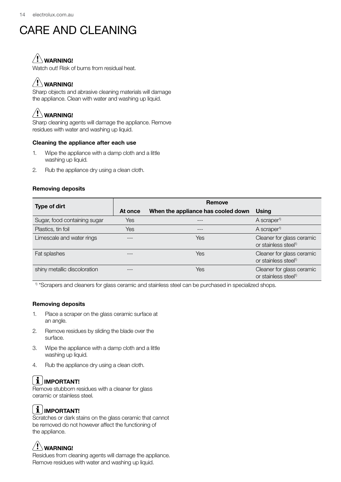## CARE AND CLEANING

## WARNING!

Watch out! Risk of burns from residual heat.

## $/$ ! $\backslash$  warning!

Sharp objects and abrasive cleaning materials will damage the appliance. Clean with water and washing up liquid.

## $\sqrt{!}$  WARNING!

Sharp cleaning agents will damage the appliance. Remove residues with water and washing up liquid.

### Cleaning the appliance after each use

- 1. Wipe the appliance with a damp cloth and a little washing up liquid.
- 2. Rub the appliance dry using a clean cloth.

### Removing deposits

|                              | Remove  |                                    |                                                               |  |
|------------------------------|---------|------------------------------------|---------------------------------------------------------------|--|
| <b>Type of dirt</b>          | At once | When the appliance has cooled down | Using                                                         |  |
| Sugar, food containing sugar | Yes     | ---                                | A scraper <sup>1)</sup>                                       |  |
| Plastics, tin foil           | Yes     | ---                                | A scraper <sup>1)</sup>                                       |  |
| Limescale and water rings    |         | Yes                                | Cleaner for glass ceramic<br>or stainless steel <sup>1)</sup> |  |
| Fat splashes                 |         | Yes                                | Cleaner for glass ceramic<br>or stainless steel <sup>1)</sup> |  |
| shiny metallic discoloration |         | Yes                                | Cleaner for glass ceramic<br>or stainless steel <sup>1)</sup> |  |

<sup>1)</sup> \*Scrapers and cleaners for glass ceramic and stainless steel can be purchased in specialized shops.

### Removing deposits

- 1. Place a scraper on the glass ceramic surface at an angle.
- 2. Remove residues by sliding the blade over the surface.
- 3. Wipe the appliance with a damp cloth and a little washing up liquid.
- 4. Rub the appliance dry using a clean cloth.

## $\left[\mathbf{\hat{1}}\right]$ important!

Remove stubborn residues with a cleaner for glass ceramic or stainless steel.

## $\mid \mathbf{i} \mid$ IMPORTANT!

Scratches or dark stains on the glass ceramic that cannot be removed do not however affect the functioning of the appliance.

## $\langle \mathbf{I} \rangle$  WARNING!

Residues from cleaning agents will damage the appliance. Remove residues with water and washing up liquid.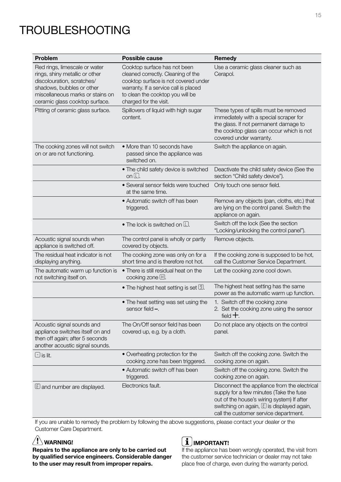## TROUBLESHOOTING

| <b>Problem</b>                                                                                                                                                                                   | <b>Possible cause</b>                                                                                                                                                                                             | Remedy                                                                                                                                                                                                                        |
|--------------------------------------------------------------------------------------------------------------------------------------------------------------------------------------------------|-------------------------------------------------------------------------------------------------------------------------------------------------------------------------------------------------------------------|-------------------------------------------------------------------------------------------------------------------------------------------------------------------------------------------------------------------------------|
| Red rings, limescale or water<br>rings, shiny metallic or other<br>discolouration, scratches/<br>shadows, bubbles or other<br>miscellaneous marks or stains on<br>ceramic glass cooktop surface. | Cooktop surface has not been<br>cleaned correctly. Cleaning of the<br>cooktop surface is not covered under<br>warranty. If a service call is placed<br>to clean the cooktop you will be<br>charged for the visit. | Use a ceramic glass cleaner such as<br>Cerapol.                                                                                                                                                                               |
| Pitting of ceramic glass surface.                                                                                                                                                                | Spillovers of liquid with high sugar<br>content.                                                                                                                                                                  | These types of spills must be removed<br>immediately with a special scraper for<br>the glass. If not permanent damage to<br>the cooktop glass can occur which is not<br>covered under warranty.                               |
| The cooking zones will not switch<br>on or are not functioning.                                                                                                                                  | • More than 10 seconds have<br>passed since the appliance was<br>switched on.                                                                                                                                     | Switch the appliance on again.                                                                                                                                                                                                |
|                                                                                                                                                                                                  | • The child safety device is switched<br>on $\square$                                                                                                                                                             | Deactivate the child safety device (See the<br>section "Child safety device").                                                                                                                                                |
|                                                                                                                                                                                                  | • Several sensor fields were touched<br>at the same time.                                                                                                                                                         | Only touch one sensor field.                                                                                                                                                                                                  |
|                                                                                                                                                                                                  | • Automatic switch off has been<br>triggered.                                                                                                                                                                     | Remove any objects (pan, cloths, etc.) that<br>are lying on the control panel. Switch the<br>appliance on again.                                                                                                              |
|                                                                                                                                                                                                  | • The lock is switched on $\square$ .                                                                                                                                                                             | Switch off the lock (See the section<br>"Locking/unlocking the control panel").                                                                                                                                               |
| Acoustic signal sounds when<br>appliance is switched off.                                                                                                                                        | The control panel is wholly or partly<br>covered by objects.                                                                                                                                                      | Remove objects.                                                                                                                                                                                                               |
| The residual heat indicator is not<br>displaying anything.                                                                                                                                       | The cooking zone was only on for a<br>short time and is therefore not hot.                                                                                                                                        | If the cooking zone is supposed to be hot,<br>call the Customer Service Department.                                                                                                                                           |
| The automatic warm up function is<br>not switching itself on.                                                                                                                                    | . There is still residual heat on the<br>cooking zone $\boxplus$                                                                                                                                                  | Let the cooking zone cool down.                                                                                                                                                                                               |
|                                                                                                                                                                                                  | • The highest heat setting is set $[9]$ .                                                                                                                                                                         | The highest heat setting has the same<br>power as the automatic warm up function.                                                                                                                                             |
|                                                                                                                                                                                                  | • The heat setting was set using the<br>sensor field <del>–</del> .                                                                                                                                               | 1. Switch off the cooking zone<br>2. Set the cooking zone using the sensor<br>field $+$ .                                                                                                                                     |
| Acoustic signal sounds and<br>appliance switches itself on and<br>then off again; after 5 seconds<br>another acoustic signal sounds.                                                             | The On/Off sensor field has been<br>covered up, e.g. by a cloth.                                                                                                                                                  | Do not place any objects on the control<br>panel.                                                                                                                                                                             |
| $\boxdot$ is lit.                                                                                                                                                                                | • Overheating protection for the<br>cooking zone has been triggered.                                                                                                                                              | Switch off the cooking zone. Switch the<br>cooking zone on again.                                                                                                                                                             |
|                                                                                                                                                                                                  | • Automatic switch off has been<br>triggered.                                                                                                                                                                     | Switch off the cooking zone. Switch the<br>cooking zone on again.                                                                                                                                                             |
| $E$ and number are displayed.                                                                                                                                                                    | Electronics fault.                                                                                                                                                                                                | Disconnect the appliance from the electrical<br>supply for a few minutes (Take the fuse<br>out of the house's wiring system) If after<br>switching on again, $E$ is displayed again,<br>call the customer service department. |

If you are unable to remedy the problem by following the above suggestions, please contact your dealer or the Customer Care Department.

### $\langle \mathbf{1} \rangle$  WARNING!

Repairs to the appliance are only to be carried out by qualified service engineers. Considerable danger to the user may result from improper repairs.

### $\left[\mathbf{\dot{1}}\right]$ important!

If the appliance has been wrongly operated, the visit from the customer service technician or dealer may not take place free of charge, even during the warranty period.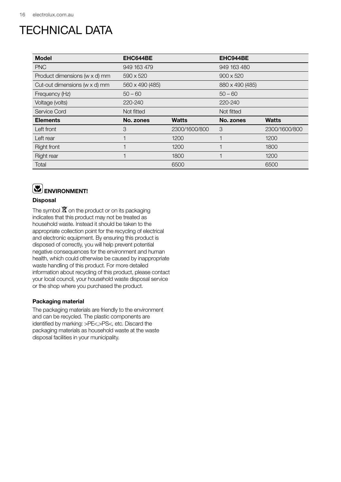## TECHNICAL DATA

| <b>Model</b>                  | EHC644BE        |               | EHC944BE         |               |
|-------------------------------|-----------------|---------------|------------------|---------------|
| <b>PNC</b>                    | 949 163 479     |               | 949 163 480      |               |
| Product dimensions (w x d) mm | 590 x 520       |               | $900 \times 520$ |               |
| Cut-out dimensions (w x d) mm | 560 x 490 (485) |               | 880 x 490 (485)  |               |
| Frequency (Hz)                | $50 - 60$       |               | $50 - 60$        |               |
| Voltage (volts)               | 220-240         |               | 220-240          |               |
| Service Cord                  | Not fitted      |               | Not fitted       |               |
| <b>Elements</b>               | No. zones       | <b>Watts</b>  | No. zones        | <b>Watts</b>  |
| Left front                    | 3               | 2300/1600/800 | 3                | 2300/1600/800 |
| Left rear                     |                 | 1200          |                  | 1200          |
| <b>Right front</b>            |                 | 1200          |                  | 1800          |
| <b>Right rear</b>             |                 | 1800          |                  | 1200          |
| Total                         |                 | 6500          |                  | 6500          |

## ENVIRONMENT!

### **Disposal**

The symbol  $\overline{\mathbb{X}}$  on the product or on its packaging indicates that this product may not be treated as household waste. Instead it should be taken to the appropriate collection point for the recycling of electrical and electronic equipment. By ensuring this product is disposed of correctly, you will help prevent potential negative consequences for the environment and human health, which could otherwise be caused by inappropriate waste handling of this product. For more detailed information about recycling of this product, please contact your local council, your household waste disposal service or the shop where you purchased the product.

### Packaging material

The packaging materials are friendly to the environment and can be recycled. The plastic components are identified by marking: >PE<,>PS<, etc. Discard the packaging materials as household waste at the waste disposal facilities in your municipality.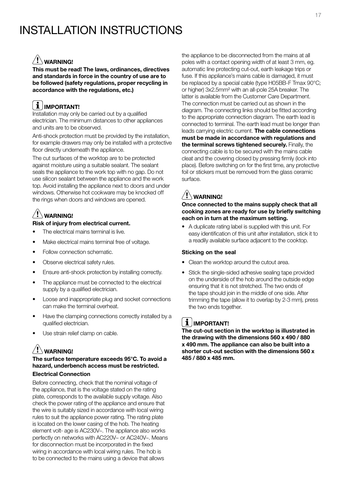## INSTALLATION INSTRUCTIONS

### $/!\backslash$  warning!

This must be read! The laws, ordinances, directives and standards in force in the country of use are to be followed (safety regulations, proper recycling in accordance with the regulations, etc.)

#### i. IMPORTANT!

Installation may only be carried out by a qualified electrician. The minimum distances to other appliances and units are to be observed.

Anti-shock protection must be provided by the installation, for example drawers may only be installed with a protective floor directly underneath the appliance.

The cut surfaces of the worktop are to be protected against moisture using a suitable sealant. The sealant seals the appliance to the work top with no gap. Do not use silicon sealant between the appliance and the work top. Avoid installing the appliance next to doors and under windows. Otherwise hot cookware may be knocked off the rings when doors and windows are opened.

## WARNING!

### Risk of injury from electrical current.

- The electrical mains terminal is live.
- Make electrical mains terminal free of voltage.
- Follow connection schematic.
- Observe electrical safety rules.
- Ensure anti-shock protection by installing correctly.
- The appliance must be connected to the electrical supply by a qualified electrician.
- Loose and inappropriate plug and socket connections can make the terminal overheat.
- Have the clamping connections correctly installed by a qualified electrician.
- Use strain relief clamp on cable.

## WARNING!

### The surface temperature exceeds 95°C. To avoid a hazard, underbench access must be restricted.

### Electrical Connection

Before connecting, check that the nominal voltage of the appliance, that is the voltage stated on the rating plate, corresponds to the available supply voltage. Also check the power rating of the appliance and ensure that the wire is suitably sized in accordance with local wiring rules to suit the appliance power rating. The rating plate is located on the lower casing of the hob. The heating element volt- age is AC230V~. The appliance also works perfectly on networks with AC220V~ or AC240V~. Means for disconnection must be incorporated in the fixed wiring in accordance with local wiring rules. The hob is to be connected to the mains using a device that allows

the appliance to be disconnected from the mains at all poles with a contact opening width of at least 3 mm, eg. automatic line protecting cut-out, earth leakage trips or fuse. If this appliance's mains cable is damaged, it must be replaced by a special cable (type H05BB-F Tmax 90°C; or higher) 3x2.5mm² with an all-pole 25A breaker. The latter is available from the Customer Care Department. The connection must be carried out as shown in the diagram. The connecting links should be fitted according to the appropriate connection diagram. The earth lead is connected to terminal. The earth lead must be longer than leads carrying electric current. The cable connections must be made in accordance with regulations and the terminal screws tightened securely. Finally, the connecting cable is to be secured with the mains cable cleat and the covering closed by pressing firmly (lock into place). Before switching on for the first time, any protective foil or stickers must be removed from the glass ceramic surface.

## $\mathcal{N}$ warning!

Once connected to the mains supply check that all cooking zones are ready for use by briefly switching each on in turn at the maximum setting.

• A duplicate rating label is supplied with this unit. For easy identification of this unit after installation, stick it to a readily available surface adjacent to the cooktop.

### Sticking on the seal

- Clean the worktop around the cutout area.
- Stick the single-sided adhesive sealing tape provided on the underside of the hob around the outside edge ensuring that it is not stretched. The two ends of the tape should join in the middle of one side. After trimming the tape (allow it to overlap by 2-3 mm), press the two ends together.

## $i$  | IMPORTANT!

The cut-out section in the worktop is illustrated in the drawing with the dimensions 560 x 490 / 880 x 490 mm. The appliance can also be built into a shorter cut-out section with the dimensions 560 x 485 / 880 x 485 mm.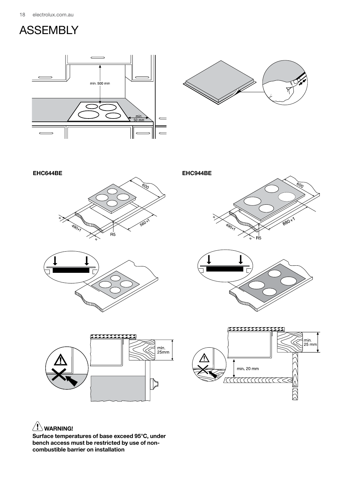![](_page_17_Picture_1.jpeg)

![](_page_17_Figure_2.jpeg)

![](_page_17_Figure_3.jpeg)

![](_page_17_Picture_4.jpeg)

![](_page_17_Picture_5.jpeg)

![](_page_17_Figure_6.jpeg)

![](_page_17_Figure_7.jpeg)

![](_page_17_Figure_8.jpeg)

![](_page_17_Figure_9.jpeg)

### $\sqrt{!}$  WARNING!

Surface temperatures of base exceed 95°C, under bench access must be restricted by use of noncombustible barrier on installation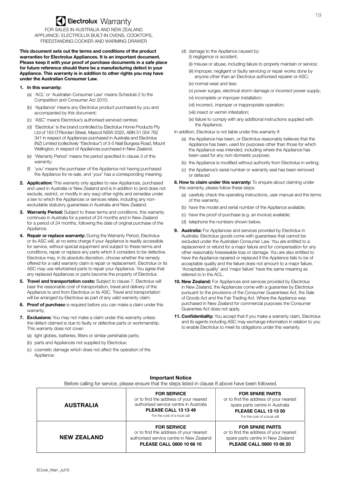## **Sectrolux Warranty**

FOR SALES IN AUSTRALIA AND NEW ZEALAND APPLIANCE: ELECTROLUX BUILT-IN OVENS, COOKTOPS, FREESTANDING COOKER AND WARMING DRAWER

**This document sets out the terms and conditions of the product warranties for Electrolux Appliances. It is an important document. Please keep it with your proof of purchase documents in a safe place for future reference should there be a manufacturing defect in your Appliance. This warranty is in addition to other rights you may have under the Australian Consumer Law.**

#### **1. In this warranty:**

- (a) 'ACL' or 'Australian Consumer Law' means Schedule 2 to the Competition and Consumer Act 2010;
- (b) 'Appliance' means any Electrolux product purchased by you and accompanied by this document;
- (c) 'ASC' means Electrolux's authorised serviced centres;
- (d) 'Electrolux' is the brand controlled by Electrolux Home Products Pty Ltd of 163 O'Riordan Street, Mascot NSW 2020, ABN 51 004 762 341 in respect of Appliances purchased in Australia and Electrolux (NZ) Limited (collectively "Electrolux") of 3-5 Niall Burgess Road, Mount Wellington, in respect of Appliances purchased in New Zealand;
- (e) 'Warranty Period' means the period specified in clause 3 of this warranty;
- (f) 'you' means the purchaser of the Appliance not having purchased the Appliance for re-sale, and 'your' has a corresponding meaning.
- **2. Application:** This warranty only applies to new Appliances, purchased and used in Australia or New Zealand and is in addition to (and does not exclude, restrict, or modify in any way) other rights and remedies under a law to which the Appliances or services relate, including any nonexcludable statutory guarantees in Australia and New Zealand.
- **3. Warranty Period:** Subject to these terms and conditions, this warranty continues in Australia for a period of 24 months and in New Zealand for a period of 24 months, following the date of original purchase of the Appliance.
- **4. Repair or replace warranty:** During the Warranty Period, Electrolux or its ASC will, at no extra charge if your Appliance is readily accessible for service, without special equipment and subject to these terms and conditions, repair or replace any parts which it considers to be defective. Electrolux may, in its absolute discretion, choose whether the remedy offered for a valid warranty claim is repair or replacement. Electrolux or its ASC may use refurbished parts to repair your Appliance. You agree that any replaced Appliances or parts become the property of Electrolux.
- **5. Travel and transportation costs:** Subject to clause 7, Electrolux will bear the reasonable cost of transportation, travel and delivery of the Appliance to and from Electrolux or its ASC. Travel and transportation will be arranged by Electrolux as part of any valid warranty claim.
- **6. Proof of purchas**e is required before you can make a claim under this warranty.
- **7. Exclusions:** You may not make a claim under this warranty unless the defect claimed is due to faulty or defective parts or workmanship. This warranty does not cover:
	- (a) light globes, batteries, filters or similar perishable parts;
	- (b) parts and Appliances not supplied by Electrolux;
	- (c) cosmetic damage which does not affect the operation of the Appliance:
- (d) damage to the Appliance caused by: (i) negligence or accident;
	- (ii) misuse or abuse, including failure to properly maintain or service;
	- (iii) improper, negligent or faulty servicing or repair works done by anyone other than an Electrolux authorised repairer or ASC;
	- (iv) normal wear and tear;
	- (v) power surges, electrical storm damage or incorrect power supply;
	- (vi) incomplete or improper installation;
	- (vii) incorrect, improper or inappropriate operation;
	- (viii) insect or vermin infestation;
	- (ix) failure to comply with any additional instructions supplied with the Appliance;
- In addition, Electrolux is not liable under this warranty if:
	- (a) the Appliance has been, or Electrolux reasonably believes that the Appliance has been, used for purposes other than those for which the Appliance was intended, including where the Appliance has been used for any non-domestic purpose;
	- (b) the Appliance is modified without authority from Electrolux in writing;
	- (c) the Appliance's serial number or warranty seal has been removed or defaced
- 8. How to claim under this warranty: To enquire about claiming under this warranty, please follow these steps:
	- (a) carefully check the operating instructions, user manual and the terms of this warranty;
	- (b) have the model and serial number of the Appliance available;
	- (c) have the proof of purchase (e.g. an invoice) available;
	- (d) telephone the numbers shown below.
- **9. Australia:** For Appliances and services provided by Electrolux in Australia: Electrolux goods come with guarantees that cannot be excluded under the Australian Consumer Law. You are entitled to a replacement or refund for a major failure and for compensation for any other reasonably foreseeable loss or damage. You are also entitled to have the Appliance repaired or replaced if the Appliance fails to be of acceptable quality and the failure does not amount to a major failure. 'Acceptable quality' and 'major failure' have the same meaning as referred to in the ACL.
- **10. New Zealand:** For Appliances and services provided by Electrolux in New Zealand, the Appliances come with a guarantee by Electrolux pursuant to the provisions of the Consumer Guarantees Act, the Sale of Goods Act and the Fair Trading Act. Where the Appliance was purchased in New Zealand for commercial purposes the Consumer Guarantee Act does not apply.
- **11. Confidentiality:** You accept that if you make a warranty claim, Electrolux and its agents including ASC may exchange information in relation to you to enable Electrolux to meet its obligations under this warranty.

#### **AUSTRALIA FOR SERVICE**  or to find the address of your nearest authorised service centre in Australia **PLEASE CALL 13 13 49** For the cost of a local call **FOR SPARE PARTS**  or to find the address of your nearest spare parts centre in Australia **PLEASE CALL 13 13 50** For the cost of a local call **NEW ZEALAND FOR SERVICE**  or to find the address of your nearest authorised service centre in New Zealand **PLEASE CALL 0800 10 66 10 FOR SPARE PARTS** or to find the address of your nearest spare parts centre in New Zealand **PLEASE CALL 0800 10 66 20**

#### **Important Notice** Before calling for service, please ensure that the steps listed in clause 8 above have been followed.